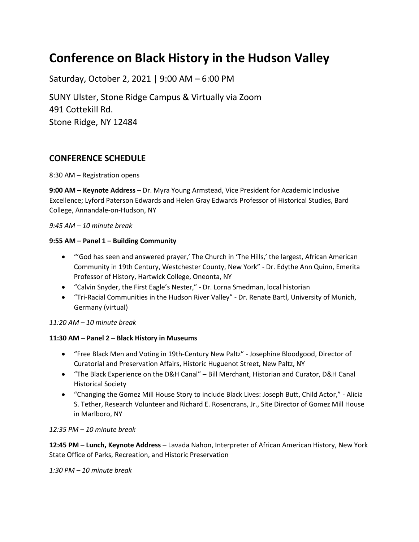# **Conference on Black History in the Hudson Valley**

Saturday, October 2, 2021 | 9:00 AM – 6:00 PM SUNY Ulster, Stone Ridge Campus & Virtually via Zoom 491 Cottekill Rd. Stone Ridge, NY 12484

# **CONFERENCE SCHEDULE**

8:30 AM – Registration opens

**9:00 AM – Keynote Address** – Dr. Myra Young Armstead, Vice President for Academic Inclusive Excellence; Lyford Paterson Edwards and Helen Gray Edwards Professor of Historical Studies, Bard College, Annandale-on-Hudson, NY

### *9:45 AM – 10 minute break*

### **9:55 AM – Panel 1 – Building Community**

- "'God has seen and answered prayer,' The Church in 'The Hills,' the largest, African American Community in 19th Century, Westchester County, New York" - Dr. Edythe Ann Quinn, Emerita Professor of History, Hartwick College, Oneonta, NY
- "Calvin Snyder, the First Eagle's Nester," Dr. Lorna Smedman, local historian
- "Tri-Racial Communities in the Hudson River Valley" Dr. Renate Bartl, University of Munich, Germany (virtual)

# *11:20 AM – 10 minute break*

# **11:30 AM – Panel 2 – Black History in Museums**

- "Free Black Men and Voting in 19th-Century New Paltz" Josephine Bloodgood, Director of Curatorial and Preservation Affairs, Historic Huguenot Street, New Paltz, NY
- "The Black Experience on the D&H Canal" Bill Merchant, Historian and Curator, D&H Canal Historical Society
- "Changing the Gomez Mill House Story to include Black Lives: Joseph Butt, Child Actor," Alicia S. Tether, Research Volunteer and Richard E. Rosencrans, Jr., Site Director of Gomez Mill House in Marlboro, NY

### *12:35 PM – 10 minute break*

**12:45 PM – Lunch, Keynote Address** – Lavada Nahon, Interpreter of African American History, New York State Office of Parks, Recreation, and Historic Preservation

# *1:30 PM – 10 minute break*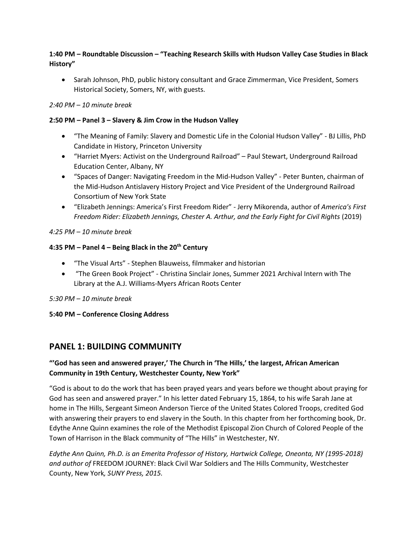# **1:40 PM – Roundtable Discussion – "Teaching Research Skills with Hudson Valley Case Studies in Black History"**

 Sarah Johnson, PhD, public history consultant and Grace Zimmerman, Vice President, Somers Historical Society, Somers, NY, with guests.

### *2:40 PM – 10 minute break*

### **2:50 PM – Panel 3 – Slavery & Jim Crow in the Hudson Valley**

- "The Meaning of Family: Slavery and Domestic Life in the Colonial Hudson Valley" BJ Lillis, PhD Candidate in History, Princeton University
- "Harriet Myers: Activist on the Underground Railroad" Paul Stewart, Underground Railroad Education Center, Albany, NY
- "Spaces of Danger: Navigating Freedom in the Mid-Hudson Valley" Peter Bunten, chairman of the Mid-Hudson Antislavery History Project and Vice President of the Underground Railroad Consortium of New York State
- "Elizabeth Jennings: America's First Freedom Rider" Jerry Mikorenda, author of *America's First Freedom Rider: Elizabeth Jennings, Chester A. Arthur, and the Early Fight for Civil Rights* (2019)

### *4:25 PM – 10 minute break*

### **4:35 PM – Panel 4 – Being Black in the 20th Century**

- "The Visual Arts" Stephen Blauweiss, filmmaker and historian
- "The Green Book Project" Christina Sinclair Jones, Summer 2021 Archival Intern with The Library at the A.J. Williams-Myers African Roots Center

### *5:30 PM – 10 minute break*

### **5:40 PM – Conference Closing Address**

# **PANEL 1: BUILDING COMMUNITY**

# **"'God has seen and answered prayer,' The Church in 'The Hills,' the largest, African American Community in 19th Century, Westchester County, New York"**

"God is about to do the work that has been prayed years and years before we thought about praying for God has seen and answered prayer." In his letter dated February 15, 1864, to his wife Sarah Jane at home in The Hills, Sergeant Simeon Anderson Tierce of the United States Colored Troops, credited God with answering their prayers to end slavery in the South. In this chapter from her forthcoming book, Dr. Edythe Anne Quinn examines the role of the Methodist Episcopal Zion Church of Colored People of the Town of Harrison in the Black community of "The Hills" in Westchester, NY.

*Edythe Ann Quinn, Ph.D. is an Emerita Professor of History, Hartwick College, Oneonta, NY (1995-2018) and author of* FREEDOM JOURNEY: Black Civil War Soldiers and The Hills Community, Westchester County, New York*, SUNY Press, 2015.*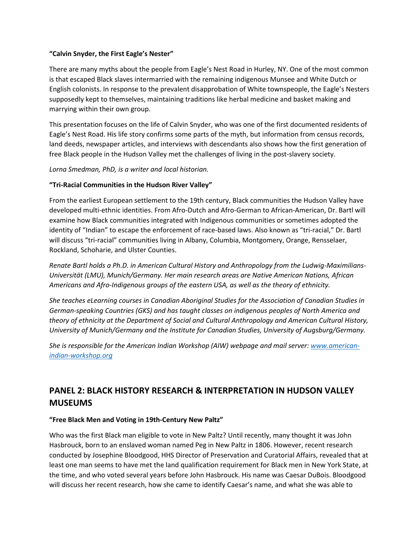### **"Calvin Snyder, the First Eagle's Nester"**

There are many myths about the people from Eagle's Nest Road in Hurley, NY. One of the most common is that escaped Black slaves intermarried with the remaining indigenous Munsee and White Dutch or English colonists. In response to the prevalent disapprobation of White townspeople, the Eagle's Nesters supposedly kept to themselves, maintaining traditions like herbal medicine and basket making and marrying within their own group.

This presentation focuses on the life of Calvin Snyder, who was one of the first documented residents of Eagle's Nest Road. His life story confirms some parts of the myth, but information from census records, land deeds, newspaper articles, and interviews with descendants also shows how the first generation of free Black people in the Hudson Valley met the challenges of living in the post-slavery society.

*Lorna Smedman, PhD, is a writer and local historian.*

### **"Tri-Racial Communities in the Hudson River Valley"**

From the earliest European settlement to the 19th century, Black communities the Hudson Valley have developed multi-ethnic identities. From Afro-Dutch and Afro-German to African-American, Dr. Bartl will examine how Black communities integrated with Indigenous communities or sometimes adopted the identity of "Indian" to escape the enforcement of race-based laws. Also known as "tri-racial," Dr. Bartl will discuss "tri-racial" communities living in Albany, Columbia, Montgomery, Orange, Rensselaer, Rockland, Schoharie, and Ulster Counties.

*Renate Bartl holds a Ph.D. in American Cultural History and Anthropology from the Ludwig-Maximilians-Universität (LMU), Munich/Germany. Her main research areas are Native American Nations, African Americans and Afro-Indigenous groups of the eastern USA, as well as the theory of ethnicity.*

*She teaches eLearning courses in Canadian Aboriginal Studies for the Association of Canadian Studies in German-speaking Countries (GKS) and has taught classes on indigenous peoples of North America and theory of ethnicity at the Department of Social and Cultural Anthropology and American Cultural History, University of Munich/Germany and the Institute for Canadian Studies, University of Augsburg/Germany.*

*She is responsible for the American Indian Workshop (AIW) webpage and mail server: [www.american](http://www.american-indian-workshop.org/)[indian-workshop.org](http://www.american-indian-workshop.org/)*

# **PANEL 2: BLACK HISTORY RESEARCH & INTERPRETATION IN HUDSON VALLEY MUSEUMS**

# **"Free Black Men and Voting in 19th-Century New Paltz"**

Who was the first Black man eligible to vote in New Paltz? Until recently, many thought it was John Hasbrouck, born to an enslaved woman named Peg in New Paltz in 1806. However, recent research conducted by Josephine Bloodgood, HHS Director of Preservation and Curatorial Affairs, revealed that at least one man seems to have met the land qualification requirement for Black men in New York State, at the time, and who voted several years before John Hasbrouck. His name was Caesar DuBois. Bloodgood will discuss her recent research, how she came to identify Caesar's name, and what she was able to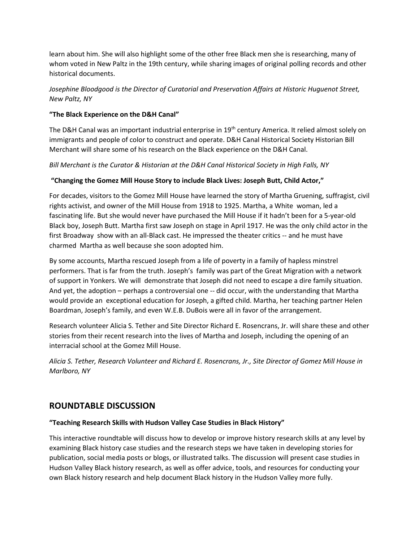learn about him. She will also highlight some of the other free Black men she is researching, many of whom voted in New Paltz in the 19th century, while sharing images of original polling records and other historical documents.

# *Josephine Bloodgood is the Director of Curatorial and Preservation Affairs at Historic Huguenot Street, New Paltz, NY*

# **"The Black Experience on the D&H Canal"**

The D&H Canal was an important industrial enterprise in 19<sup>th</sup> century America. It relied almost solely on immigrants and people of color to construct and operate. D&H Canal Historical Society Historian Bill Merchant will share some of his research on the Black experience on the D&H Canal.

### *Bill Merchant is the Curator & Historian at the D&H Canal Historical Society in High Falls, NY*

# **"Changing the Gomez Mill House Story to include Black Lives: Joseph Butt, Child Actor,"**

For decades, visitors to the Gomez Mill House have learned the story of Martha Gruening, suffragist, civil rights activist, and owner of the Mill House from 1918 to 1925. Martha, a White woman, led a fascinating life. But she would never have purchased the Mill House if it hadn't been for a 5-year-old Black boy, Joseph Butt. Martha first saw Joseph on stage in April 1917. He was the only child actor in the first Broadway show with an all-Black cast. He impressed the theater critics -- and he must have charmed Martha as well because she soon adopted him.

By some accounts, Martha rescued Joseph from a life of poverty in a family of hapless minstrel performers. That is far from the truth. Joseph's family was part of the Great Migration with a network of support in Yonkers. We will demonstrate that Joseph did not need to escape a dire family situation. And yet, the adoption – perhaps a controversial one -- did occur, with the understanding that Martha would provide an exceptional education for Joseph, a gifted child. Martha, her teaching partner Helen Boardman, Joseph's family, and even W.E.B. DuBois were all in favor of the arrangement.

Research volunteer Alicia S. Tether and Site Director Richard E. Rosencrans, Jr. will share these and other stories from their recent research into the lives of Martha and Joseph, including the opening of an interracial school at the Gomez Mill House.

*Alicia S. Tether, Research Volunteer and Richard E. Rosencrans, Jr., Site Director of Gomez Mill House in Marlboro, NY*

# **ROUNDTABLE DISCUSSION**

### **"Teaching Research Skills with Hudson Valley Case Studies in Black History"**

This interactive roundtable will discuss how to develop or improve history research skills at any level by examining Black history case studies and the research steps we have taken in developing stories for publication, social media posts or blogs, or illustrated talks. The discussion will present case studies in Hudson Valley Black history research, as well as offer advice, tools, and resources for conducting your own Black history research and help document Black history in the Hudson Valley more fully.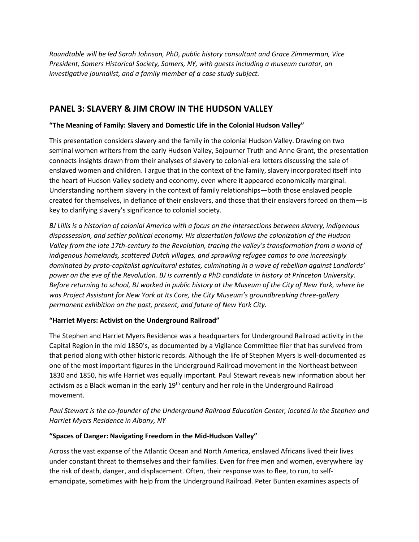*Roundtable will be led Sarah Johnson, PhD, public history consultant and Grace Zimmerman, Vice President, Somers Historical Society, Somers, NY, with guests including a museum curator, an investigative journalist, and a family member of a case study subject.*

# **PANEL 3: SLAVERY & JIM CROW IN THE HUDSON VALLEY**

# **"The Meaning of Family: Slavery and Domestic Life in the Colonial Hudson Valley"**

This presentation considers slavery and the family in the colonial Hudson Valley. Drawing on two seminal women writers from the early Hudson Valley, Sojourner Truth and Anne Grant, the presentation connects insights drawn from their analyses of slavery to colonial-era letters discussing the sale of enslaved women and children. I argue that in the context of the family, slavery incorporated itself into the heart of Hudson Valley society and economy, even where it appeared economically marginal. Understanding northern slavery in the context of family relationships—both those enslaved people created for themselves, in defiance of their enslavers, and those that their enslavers forced on them—is key to clarifying slavery's significance to colonial society.

*BJ Lillis is a historian of colonial America with a focus on the intersections between slavery, indigenous dispossession, and settler political economy. His dissertation follows the colonization of the Hudson Valley from the late 17th-century to the Revolution, tracing the valley's transformation from a world of indigenous homelands, scattered Dutch villages, and sprawling refugee camps to one increasingly dominated by proto-capitalist agricultural estates, culminating in a wave of rebellion against Landlords' power on the eve of the Revolution. BJ is currently a PhD candidate in history at Princeton University. Before returning to school, BJ worked in public history at the Museum of the City of New York, where he was Project Assistant for New York at Its Core, the City Museum's groundbreaking three-gallery permanent exhibition on the past, present, and future of New York City.*

# **"Harriet Myers: Activist on the Underground Railroad"**

The Stephen and Harriet Myers Residence was a headquarters for Underground Railroad activity in the Capital Region in the mid 1850's, as documented by a Vigilance Committee flier that has survived from that period along with other historic records. Although the life of Stephen Myers is well-documented as one of the most important figures in the Underground Railroad movement in the Northeast between 1830 and 1850, his wife Harriet was equally important. Paul Stewart reveals new information about her activism as a Black woman in the early  $19<sup>th</sup>$  century and her role in the Underground Railroad movement.

# *Paul Stewart is the co-founder of the Underground Railroad Education Center, located in the Stephen and Harriet Myers Residence in Albany, NY*

# **"Spaces of Danger: Navigating Freedom in the Mid-Hudson Valley"**

Across the vast expanse of the Atlantic Ocean and North America, enslaved Africans lived their lives under constant threat to themselves and their families. Even for free men and women, everywhere lay the risk of death, danger, and displacement. Often, their response was to flee, to run, to selfemancipate, sometimes with help from the Underground Railroad. Peter Bunten examines aspects of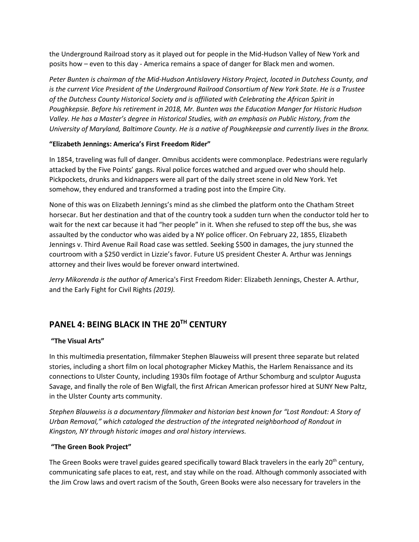the Underground Railroad story as it played out for people in the Mid-Hudson Valley of New York and posits how – even to this day - America remains a space of danger for Black men and women.

*Peter Bunten is chairman of the Mid-Hudson Antislavery History Project, located in Dutchess County, and is the current Vice President of the Underground Railroad Consortium of New York State. He is a Trustee of the Dutchess County Historical Society and is affiliated with Celebrating the African Spirit in Poughkepsie. Before his retirement in 2018, Mr. Bunten was the Education Manger for Historic Hudson Valley. He has a Master's degree in Historical Studies, with an emphasis on Public History, from the University of Maryland, Baltimore County. He is a native of Poughkeepsie and currently lives in the Bronx.*

### **"Elizabeth Jennings: America's First Freedom Rider"**

In 1854, traveling was full of danger. Omnibus accidents were commonplace. Pedestrians were regularly attacked by the Five Points' gangs. Rival police forces watched and argued over who should help. Pickpockets, drunks and kidnappers were all part of the daily street scene in old New York. Yet somehow, they endured and transformed a trading post into the Empire City.

None of this was on Elizabeth Jennings's mind as she climbed the platform onto the Chatham Street horsecar. But her destination and that of the country took a sudden turn when the conductor told her to wait for the next car because it had "her people" in it. When she refused to step off the bus, she was assaulted by the conductor who was aided by a NY police officer. On February 22, 1855, Elizabeth Jennings v. Third Avenue Rail Road case was settled. Seeking \$500 in damages, the jury stunned the courtroom with a \$250 verdict in Lizzie's favor. Future US president Chester A. Arthur was Jennings attorney and their lives would be forever onward intertwined.

*Jerry Mikorenda is the author of* America's First Freedom Rider: Elizabeth Jennings, Chester A. Arthur, and the Early Fight for Civil Rights *(2019).*

# **PANEL 4: BEING BLACK IN THE 20TH CENTURY**

# **"The Visual Arts"**

In this multimedia presentation, filmmaker Stephen Blauweiss will present three separate but related stories, including a short film on local photographer Mickey Mathis, the Harlem Renaissance and its connections to Ulster County, including 1930s film footage of Arthur Schomburg and sculptor Augusta Savage, and finally the role of Ben Wigfall, the first African American professor hired at SUNY New Paltz, in the Ulster County arts community.

*Stephen Blauweiss is a documentary filmmaker and historian best known for "Lost Rondout: A Story of Urban Removal," which cataloged the destruction of the integrated neighborhood of Rondout in Kingston, NY through historic images and oral history interviews.* 

### **"The Green Book Project"**

The Green Books were travel guides geared specifically toward Black travelers in the early 20<sup>th</sup> century, communicating safe places to eat, rest, and stay while on the road. Although commonly associated with the Jim Crow laws and overt racism of the South, Green Books were also necessary for travelers in the